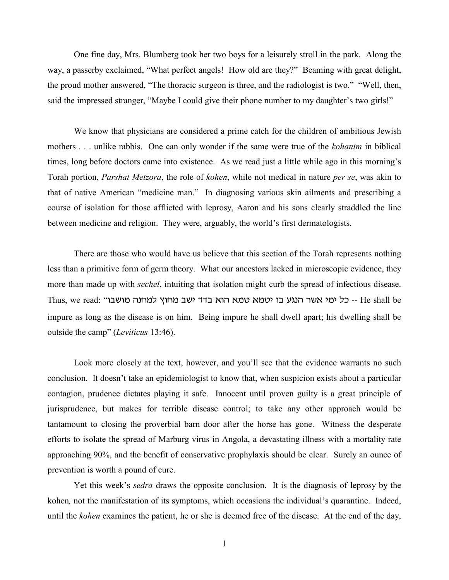One fine day, Mrs. Blumberg took her two boys for a leisurely stroll in the park. Along the way, a passerby exclaimed, "What perfect angels! How old are they?" Beaming with great delight, the proud mother answered, "The thoracic surgeon is three, and the radiologist is two." "Well, then, said the impressed stranger, "Maybe I could give their phone number to my daughter's two girls!"

We know that physicians are considered a prime catch for the children of ambitious Jewish mothers . . . unlike rabbis. One can only wonder if the same were true of the *kohanim* in biblical times, long before doctors came into existence. As we read just a little while ago in this morning's Torah portion, *Parshat Metzora*, the role of *kohen*, while not medical in nature *per se*, was akin to that of native American "medicine man." In diagnosing various skin ailments and prescribing a course of isolation for those afflicted with leprosy, Aaron and his sons clearly straddled the line between medicine and religion. They were, arguably, the world's first dermatologists.

There are those who would have us believe that this section of the Torah represents nothing less than a primitive form of germ theory. What our ancestors lacked in microscopic evidence, they more than made up with *sechel*, intuiting that isolation might curb the spread of infectious disease. Thus, we read: "ר כל ימי אשר הנגע בו יטמא טמא הוא בדד ישב מחוץ למחנה מושבוimpure as long as the disease is on him. Being impure he shall dwell apart; his dwelling shall be outside the camp" (*Leviticus* 13:46).

Look more closely at the text, however, and you'll see that the evidence warrants no such conclusion. It doesn't take an epidemiologist to know that, when suspicion exists about a particular contagion, prudence dictates playing it safe. Innocent until proven guilty is a great principle of jurisprudence, but makes for terrible disease control; to take any other approach would be tantamount to closing the proverbial barn door after the horse has gone. Witness the desperate efforts to isolate the spread of Marburg virus in Angola, a devastating illness with a mortality rate approaching 90%, and the benefit of conservative prophylaxis should be clear. Surely an ounce of prevention is worth a pound of cure.

Yet this week's *sedra* draws the opposite conclusion. It is the diagnosis of leprosy by the kohen*,* not the manifestation of its symptoms, which occasions the individual's quarantine. Indeed, until the *kohen* examines the patient, he or she is deemed free of the disease. At the end of the day,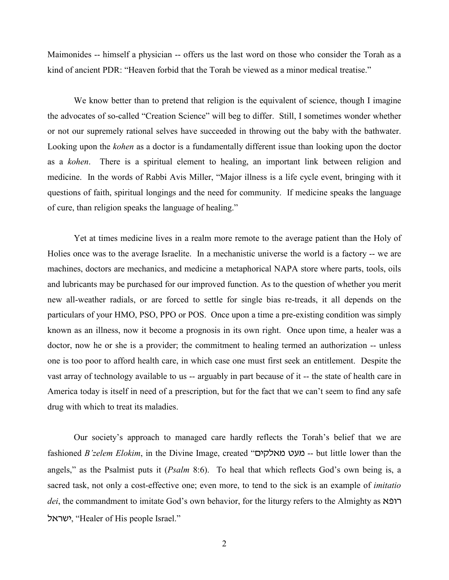Maimonides -- himself a physician -- offers us the last word on those who consider the Torah as a kind of ancient PDR: "Heaven forbid that the Torah be viewed as a minor medical treatise."

We know better than to pretend that religion is the equivalent of science, though I imagine the advocates of so-called "Creation Science" will beg to differ. Still, I sometimes wonder whether or not our supremely rational selves have succeeded in throwing out the baby with the bathwater. Looking upon the *kohen* as a doctor is a fundamentally different issue than looking upon the doctor as a *kohen*. There is a spiritual element to healing, an important link between religion and medicine. In the words of Rabbi Avis Miller, "Major illness is a life cycle event, bringing with it questions of faith, spiritual longings and the need for community. If medicine speaks the language of cure, than religion speaks the language of healing."

Yet at times medicine lives in a realm more remote to the average patient than the Holy of Holies once was to the average Israelite. In a mechanistic universe the world is a factory -- we are machines, doctors are mechanics, and medicine a metaphorical NAPA store where parts, tools, oils and lubricants may be purchased for our improved function. As to the question of whether you merit new all-weather radials, or are forced to settle for single bias re-treads, it all depends on the particulars of your HMO, PSO, PPO or POS. Once upon a time a pre-existing condition was simply known as an illness, now it become a prognosis in its own right. Once upon time, a healer was a doctor, now he or she is a provider; the commitment to healing termed an authorization -- unless one is too poor to afford health care, in which case one must first seek an entitlement. Despite the vast array of technology available to us -- arguably in part because of it -- the state of health care in America today is itself in need of a prescription, but for the fact that we can't seem to find any safe drug with which to treat its maladies.

Our society's approach to managed care hardly reflects the Torah's belief that we are fashioned *B'zelem Elokim*, in the Divine Image, created "**בעט מאלקים --** but little lower than the angels," as the Psalmist puts it (*Psalm* 8:6). To heal that which reflects God's own being is, a sacred task, not only a cost-effective one; even more, to tend to the sick is an example of *imitatio dei*, the commandment to imitate God's own behavior, for the liturgy refers to the Almighty as  $r$ ktrah, "Healer of His people Israel."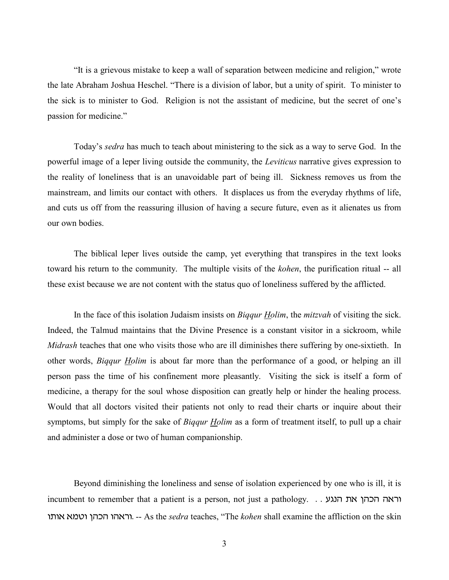"It is a grievous mistake to keep a wall of separation between medicine and religion," wrote the late Abraham Joshua Heschel. "There is a division of labor, but a unity of spirit. To minister to the sick is to minister to God. Religion is not the assistant of medicine, but the secret of one's passion for medicine."

Today's *sedra* has much to teach about ministering to the sick as a way to serve God. In the powerful image of a leper living outside the community, the *Leviticus* narrative gives expression to the reality of loneliness that is an unavoidable part of being ill. Sickness removes us from the mainstream, and limits our contact with others. It displaces us from the everyday rhythms of life, and cuts us off from the reassuring illusion of having a secure future, even as it alienates us from our own bodies.

The biblical leper lives outside the camp, yet everything that transpires in the text looks toward his return to the community. The multiple visits of the *kohen*, the purification ritual -- all these exist because we are not content with the status quo of loneliness suffered by the afflicted.

In the face of this isolation Judaism insists on *Biqqur Holim*, the *mitzvah* of visiting the sick. Indeed, the Talmud maintains that the Divine Presence is a constant visitor in a sickroom, while *Midrash* teaches that one who visits those who are ill diminishes there suffering by one-sixtieth. In other words, *Biqqur Holim* is about far more than the performance of a good, or helping an ill person pass the time of his confinement more pleasantly. Visiting the sick is itself a form of medicine, a therapy for the soul whose disposition can greatly help or hinder the healing process. Would that all doctors visited their patients not only to read their charts or inquire about their symptoms, but simply for the sake of *Biqqur Holim* as a form of treatment itself, to pull up a chair and administer a dose or two of human companionship.

Beyond diminishing the loneliness and sense of isolation experienced by one who is ill, it is  $i$ וראה הכהן את הנגע...  $j$ yh incumbent to remember that a patient is a person, not just a pathology. u,ut tnyu ivfv uvtru/ -- As the *sedra* teaches, "The *kohen* shall examine the affliction on the skin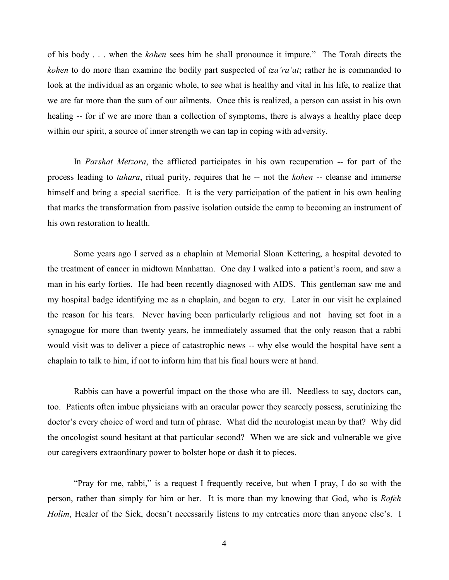of his body . . . when the *kohen* sees him he shall pronounce it impure." The Torah directs the *kohen* to do more than examine the bodily part suspected of *tza'ra'at*; rather he is commanded to look at the individual as an organic whole, to see what is healthy and vital in his life, to realize that we are far more than the sum of our ailments. Once this is realized, a person can assist in his own healing -- for if we are more than a collection of symptoms, there is always a healthy place deep within our spirit, a source of inner strength we can tap in coping with adversity.

In *Parshat Metzora*, the afflicted participates in his own recuperation -- for part of the process leading to *tahara*, ritual purity, requires that he -- not the *kohen* -- cleanse and immerse himself and bring a special sacrifice. It is the very participation of the patient in his own healing that marks the transformation from passive isolation outside the camp to becoming an instrument of his own restoration to health.

Some years ago I served as a chaplain at Memorial Sloan Kettering, a hospital devoted to the treatment of cancer in midtown Manhattan. One day I walked into a patient's room, and saw a man in his early forties. He had been recently diagnosed with AIDS. This gentleman saw me and my hospital badge identifying me as a chaplain, and began to cry. Later in our visit he explained the reason for his tears. Never having been particularly religious and not having set foot in a synagogue for more than twenty years, he immediately assumed that the only reason that a rabbi would visit was to deliver a piece of catastrophic news -- why else would the hospital have sent a chaplain to talk to him, if not to inform him that his final hours were at hand.

Rabbis can have a powerful impact on the those who are ill. Needless to say, doctors can, too. Patients often imbue physicians with an oracular power they scarcely possess, scrutinizing the doctor's every choice of word and turn of phrase. What did the neurologist mean by that? Why did the oncologist sound hesitant at that particular second? When we are sick and vulnerable we give our caregivers extraordinary power to bolster hope or dash it to pieces.

"Pray for me, rabbi," is a request I frequently receive, but when I pray, I do so with the person, rather than simply for him or her. It is more than my knowing that God, who is *Rofeh Holim*, Healer of the Sick, doesn't necessarily listens to my entreaties more than anyone else's. I